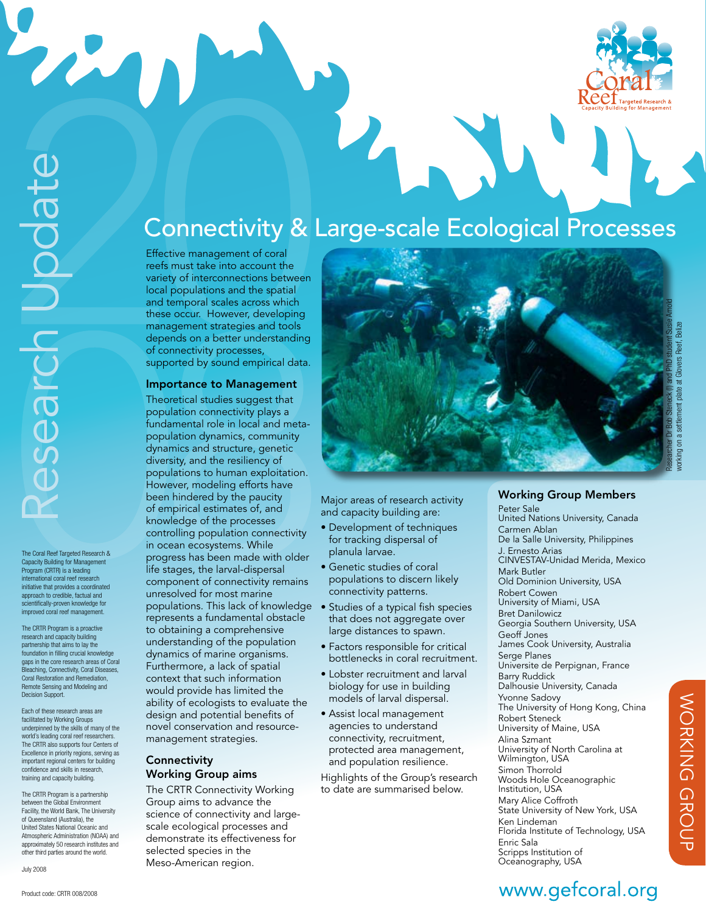

2

The Coral Reef Targeted Research & Capacity Building for Management Program (CRTR) is a leading international coral reef research initiative that provides a coordinated approach to credible, factual and scientifically-proven knowledge for improved coral reef management.

The CRTR Program is a proactive research and capacity building partnership that aims to lay the foundation in filling crucial knowledge gaps in the core research areas of Coral Bleaching, Connectivity, Coral Diseases, Coral Restoration and Remediation, Remote Sensing and Modeling and Decision Support.

Each of these research areas are facilitated by Working Groups underpinned by the skills of many of the world's leading coral reef researchers. The CRTR also supports four Centers of Excellence in priority regions, serving as important regional centers for building confidence and skills in research, training and capacity building.

The CRTR Program is a partnership between the Global Environment Facility, the World Bank, The University of Queensland (Australia), the United States National Oceanic and Atmospheric Administration (NOAA) and approximately 50 research institutes and other third parties around the world.

July 2008

# Connectivity & Large-scale Ecological Processes

Effective management of coral reefs must take into account the variety of interconnections between local populations and the spatial and temporal scales across which these occur. However, developing management strategies and tools depends on a better understanding of connectivity processes, supported by sound empirical data.

#### Importance to Management

Theoretical studies suggest that population connectivity plays a fundamental role in local and metapopulation dynamics, community dynamics and structure, genetic diversity, and the resiliency of populations to human exploitation. However, modeling efforts have been hindered by the paucity of empirical estimates of, and knowledge of the processes controlling population connectivity in ocean ecosystems. While progress has been made with older life stages, the larval-dispersal component of connectivity remains unresolved for most marine populations. This lack of knowledge represents a fundamental obstacle to obtaining a comprehensive understanding of the population dynamics of marine organisms. Furthermore, a lack of spatial context that such information would provide has limited the ability of ecologists to evaluate the design and potential benefits of novel conservation and resourcemanagement strategies.

### **Connectivity** Working Group aims

The CRTR Connectivity Working Group aims to advance the science of connectivity and largescale ecological processes and demonstrate its effectiveness for selected species in the Meso-American region.



Major areas of research activity and capacity building are:

- Development of techniques for tracking dispersal of planula larvae.
- Genetic studies of coral populations to discern likely connectivity patterns.
- Studies of a typical fish species that does not aggregate over large distances to spawn.
- Factors responsible for critical bottlenecks in coral recruitment.
- Lobster recruitment and larval biology for use in building models of larval dispersal.
- Assist local management agencies to understand connectivity, recruitment, protected area management, and population resilience.

Highlights of the Group's research to date are summarised below.

### Working Group Members

Peter Sale United Nations University, Canada Carmen Ablan De la Salle University, Philippines J. Ernesto Arias CINVESTAV-Unidad Merida, Mexico Mark Butler Old Dominion University, USA Robert Cowen University of Miami, USA Bret Danilowicz Georgia Southern University, USA Geoff Jones James Cook University, Australia Serge Planes Universite de Perpignan, France Barry Ruddick Dalhousie University, Canada Yvonne Sadovy The University of Hong Kong, China Robert Steneck University of Maine, USA Alina Szmant University of North Carolina at Wilmington, USA Simon Thorrold Woods Hole Oceanographic Institution, USA Mary Alice Coffroth State University of New York, USA Ken Lindeman Florida Institute of Technology, USA Enric Sala Scripps Institution of Oceanography, USA

# www.gefcoral.org